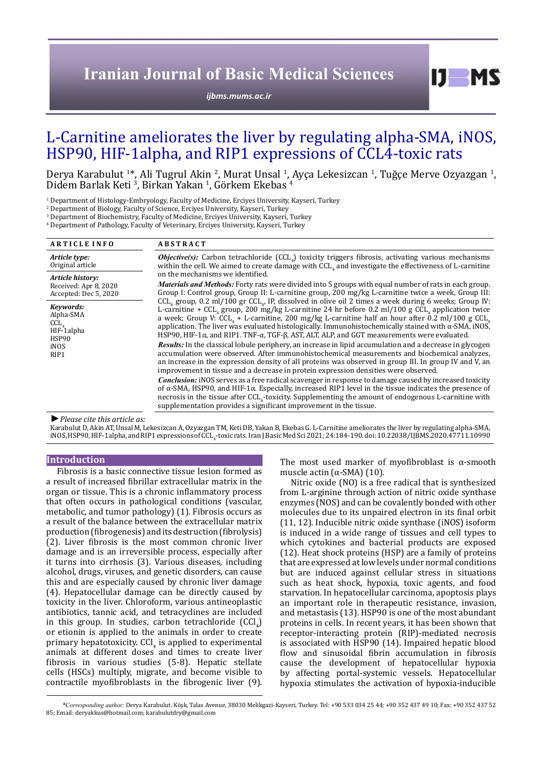# **Iranian Journal of Basic Medical Sciences**

*[ijbms.mums.ac.ir](http://ijbms.mums.ac.ir)*

# L-Carnitine ameliorates the liver by regulating alpha-SMA, iNOS, HSP90, HIF-1alpha, and RIP1 expressions of CCL4-toxic rats

Derya Karabulut <sup>1</sup>\*, Ali Tugrul Akin <sup>2</sup>, Murat Unsal <sup>1</sup>, Ayça Lekesizcan <sup>1</sup>, Tuğçe Merve Ozyazgan <sup>1</sup>,<br>Didem Barlak Keti <sup>3</sup>, Birkan Yakan <sup>1</sup>, Görkem Ekebas <sup>4</sup> , Birkan Yakan <sup>1</sup> , Görkem Ekebas <sup>4</sup>

1 Department of Histology-Embryology, Faculty of Medicine, Erciyes University, Kayseri, Turkey

2 Department of Biology, Faculty of Science, Erciyes University, Kayseri, Turkey

3 Department of Biochemistry, Faculty of Medicine, Erciyes University, Kayseri, Turkey

4 Department of Pathology, Faculty of Veterinary, Erciyes University, Kayseri, Turkey

| <b>ARTICLE INFO</b>                                                                                          | <b>ABSTRACT</b>                                                                                                                                                                                                                                                                                                                                                                                                                                                                                                                                                                                                                                                                                                                                                                                                                                                                                                                                                                                                                                                        |  |  |  |
|--------------------------------------------------------------------------------------------------------------|------------------------------------------------------------------------------------------------------------------------------------------------------------------------------------------------------------------------------------------------------------------------------------------------------------------------------------------------------------------------------------------------------------------------------------------------------------------------------------------------------------------------------------------------------------------------------------------------------------------------------------------------------------------------------------------------------------------------------------------------------------------------------------------------------------------------------------------------------------------------------------------------------------------------------------------------------------------------------------------------------------------------------------------------------------------------|--|--|--|
| Article type:<br>Original article                                                                            | Objective(s): Carbon tetrachloride (CCL) toxicity triggers fibrosis, activating various mechanisms<br>within the cell. We aimed to create damage with CCL, and investigate the effectiveness of L-carnitine<br>on the mechanisms we identified.<br><i>Materials and Methods:</i> Forty rats were divided into 5 groups with equal number of rats in each group.<br>Group I: Control group, Group II: L-carnitine group, 200 mg/kg L-carnitine twice a week, Group III:<br>$CCL_{4}$ group, 0.2 ml/100 gr CCL <sub>4</sub> , IP, dissolved in olive oil 2 times a week during 6 weeks; Group IV:<br>L-carnitine + CCL, group, 200 mg/kg L-carnitine 24 hr before 0.2 ml/100 g CCL, application twice<br>a week; Group V: CCL <sub>4</sub> + L-carnitine, 200 mg/kg L-carnitine half an hour after 0.2 ml/100 g CCL <sub>4</sub><br>application. The liver was evaluated histologically. Immunohistochemically stained with $\alpha$ -SMA, iNOS,<br>HSP90, HIF-1 $\alpha$ , and RIP1. TNF- $\alpha$ , TGF- $\beta$ , AST, ALT, ALP, and GGT measurements were evaluated. |  |  |  |
| Article history:<br>Received: Apr 8, 2020<br>Accepted: Dec 5, 2020                                           |                                                                                                                                                                                                                                                                                                                                                                                                                                                                                                                                                                                                                                                                                                                                                                                                                                                                                                                                                                                                                                                                        |  |  |  |
| Keywords:<br>Alpha-SMA<br>$CCL$ <sub><math>4</math></sub><br>HIF-1alpha<br>HSP90<br>iNOS<br>RIP <sub>1</sub> |                                                                                                                                                                                                                                                                                                                                                                                                                                                                                                                                                                                                                                                                                                                                                                                                                                                                                                                                                                                                                                                                        |  |  |  |
|                                                                                                              | <b>Results:</b> In the classical lobule periphery, an increase in lipid accumulation and a decrease in glycogen<br>accumulation were observed. After immunohistochemical measurements and biochemical analyzes,<br>an increase in the expression density of all proteins was observed in group III. In group IV and V, an<br>improvement in tissue and a decrease in protein expression densities were observed.                                                                                                                                                                                                                                                                                                                                                                                                                                                                                                                                                                                                                                                       |  |  |  |
|                                                                                                              | <b>Conclusion:</b> iNOS serves as a free radical scavenger in response to damage caused by increased toxicity<br>of $\alpha$ -SMA, HSP90, and HIF-1 $\alpha$ . Especially, increased RIP1 level in the tissue indicates the presence of<br>necrosis in the tissue after CCL <sub>4</sub> -toxicity. Supplementing the amount of endogenous L-carnitine with<br>supplementation provides a significant improvement in the tissue.                                                                                                                                                                                                                                                                                                                                                                                                                                                                                                                                                                                                                                       |  |  |  |

*►Please cite this article as:*

Karabulut D, Akin AT, UnsalM, Lekesizcan A, Ozyazgan TM, Keti DB, Yakan B, Ekebas G. L-Carnitine ameliorates the liver by regulating alpha-SMA, iNOS, HSP90, HIF-1alpha, and RIP1 expressions of CCL<sub>4</sub>-toxic rats. Iran J Basic Med Sci 2021; 24:184-190. doi: 10.22038/IJBMS.2020.47711.10990<br>.

## **Introduction**

Fibrosis is a basic connective tissue lesion formed as a result of increased fibrillar extracellular matrix in the organ or tissue. This is a chronic inflammatory process that often occurs in pathological conditions (vascular, metabolic, and tumor pathology) (1). Fibrosis occurs as a result of the balance between the extracellular matrix production (fibrogenesis) and its destruction (fibrolysis) (2). Liver fibrosis is the most common chronic liver damage and is an irreversible process, especially after it turns into cirrhosis (3). Various diseases, including alcohol, drugs, viruses, and genetic disorders, can cause this and are especially caused by chronic liver damage (4). Hepatocellular damage can be directly caused by toxicity in the liver. Chloroform, various antineoplastic antibiotics, tannic acid, and tetracyclines are included in this group. In studies, carbon tetrachloride  $\lfloor CCI_4 \rfloor$ or etionin is applied to the animals in order to create primary hepatotoxicity.  $CCl<sub>4</sub>$  is applied to experimental animals at different doses and times to create liver fibrosis in various studies (5-8). Hepatic stellate cells (HSCs) multiply, migrate, and become visible to contractile myofibroblasts in the fibrogenic liver (9). The most used marker of myofibroblast is  $\alpha$ -smooth muscle actin ( $α$ -SMA) (10).

 $I$   $I$   $M$   $S$ 

Nitric oxide (NO) is a free radical that is synthesized from L-arginine through action of nitric oxide synthase enzymes (NOS) and can be covalently bonded with other molecules due to its unpaired electron in its final orbit (11, 12). Inducible nitric oxide synthase (iNOS) isoform is induced in a wide range of tissues and cell types to which cytokines and bacterial products are exposed (12). Heat shock proteins (HSP) are a family of proteins that are expressed at low levels under normal conditions but are induced against cellular stress in situations such as heat shock, hypoxia, toxic agents, and food starvation. In hepatocellular carcinoma, apoptosis plays an important role in therapeutic resistance, invasion, and metastasis (13). HSP90 is one of the most abundant proteins in cells. In recent years, it has been shown that receptor-interacting protein (RIP)-mediated necrosis is associated with HSP90 (14). Impaired hepatic blood flow and sinusoidal fibrin accumulation in fibrosis cause the development of hepatocellular hypoxia by affecting portal-systemic vessels. Hepatocellular hypoxia stimulates the activation of hypoxia-inducible

*\*Corresponding author:* Derya Karabulut. Köşk, Talas Avenue, 38030 Melikgazi-Kayseri, Turkey. Tel: +90 533 034 25 44; +90 352 437 49 10; Fax: +90 352 437 52 85; Email: deryakkus@hotmail.com; karabulutdry@gmail.com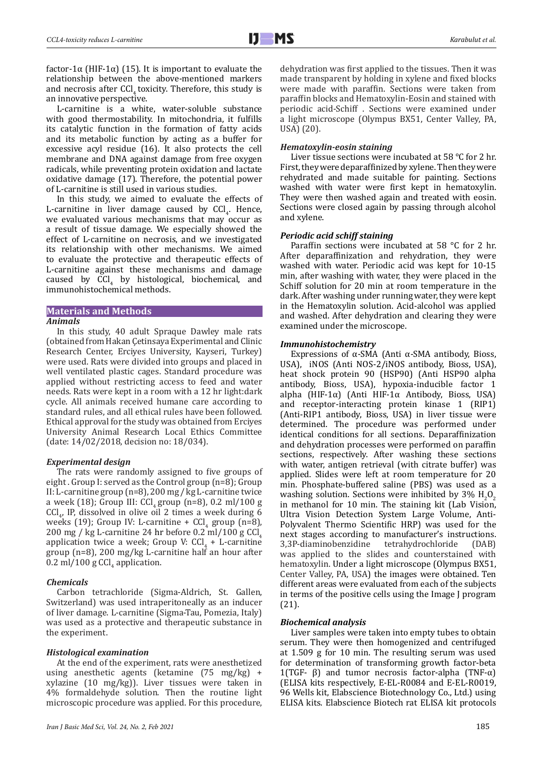factor-1α (HIF-1α) (15). It is important to evaluate the relationship between the above-mentioned markers and necrosis after CCl, toxicity. Therefore, this study is an innovative perspective.

L-carnitine is a white, water-soluble substance with good thermostability. In mitochondria, it fulfills its catalytic function in the formation of fatty acids and its metabolic function by acting as a buffer for excessive acyl residue (16). It also protects the cell membrane and DNA against damage from free oxygen radicals, while preventing protein oxidation and lactate oxidative damage (17). Therefore, the potential power of L-carnitine is still used in various studies.

In this study, we aimed to evaluate the effects of L-carnitine in liver damage caused by  $CCl<sub>4</sub>$ . Hence, we evaluated various mechanisms that may occur as a result of tissue damage. We especially showed the effect of L-carnitine on necrosis, and we investigated its relationship with other mechanisms. We aimed to evaluate the protective and therapeutic effects of L-carnitine against these mechanisms and damage caused by  $\text{CCl}_4$  by histological, biochemical, and immunohistochemical methods.

### **Materials and Methods**

#### *Animals*

In this study, 40 adult Spraque Dawley male rats (obtained from Hakan Çetinsaya Experimental and Clinic Research Center, Erciyes University, Kayseri, Turkey) were used. Rats were divided into groups and placed in well ventilated plastic cages. Standard procedure was applied without restricting access to feed and water needs. Rats were kept in a room with a 12 hr light:dark cycle. All animals received humane care according to standard rules, and all ethical rules have been followed. Ethical approval for the study was obtained from Erciyes University Animal Research Local Ethics Committee (date: 14/02/2018, decision no: 18/034).

#### *Experimental design*

The rats were randomly assigned to five groups of eight . Group I: served as the Control group (n=8); Group II: L-carnitine group (n=8), 200 mg / kg L-carnitine twice a week (18); Group III:  $CCl<sub>4</sub>$  group (n=8), 0.2 ml/100 g  $\text{CCI}_{4}$ , IP, dissolved in olive oil 2 times a week during 6 weeks (19); Group IV: L-carnitine +  $Cl<sub>4</sub>$  group (n=8), 200 mg / kg L-carnitine 24 hr before 0.2 ml/100 g CCl application twice a week; Group V:  $\text{CCL}_4$  + L-carnitine group (n=8), 200 mg/kg L-carnitine half an hour after  $0.2 \text{ ml} / 100 \text{ g } \text{CCl}_4$  application.

# *Chemicals*

Carbon tetrachloride (Sigma-Aldrich, St. Gallen, Switzerland) was used intraperitoneally as an inducer of liver damage. L-carnitine (Sigma-Tau, Pomezia, Italy) was used as a protective and therapeutic substance in the experiment.

### *Histological examination*

At the end of the experiment, rats were anesthetized using anesthetic agents (ketamine (75 mg/kg) + xylazine (10 mg/kg)). Liver tissues were taken in 4% formaldehyde solution. Then the routine light microscopic procedure was applied. For this procedure,

dehydration was first applied to the tissues. Then it was made transparent by holding in xylene and fixed blocks were made with paraffin. Sections were taken from paraffin blocks and Hematoxylin-Eosin and stained with periodic acid-Schiff . Sections were examined under a light microscope (Olympus BX51, Center Valley, PA, USA) (20).

#### *Hematoxylin-eosin staining*

Liver tissue sections were incubated at 58 °C for 2 hr. First, they were deparaffinized by xylene. Then they were rehydrated and made suitable for painting. Sections washed with water were first kept in hematoxylin. They were then washed again and treated with eosin. Sections were closed again by passing through alcohol and xylene.

## *Periodic acid schiff staining*

Paraffin sections were incubated at 58 °C for 2 hr. After deparaffinization and rehydration, they were washed with water. Periodic acid was kept for 10-15 min, after washing with water, they were placed in the Schiff solution for 20 min at room temperature in the dark. After washing under running water, they were kept in the Hematoxylin solution. Acid-alcohol was applied and washed. After dehydration and clearing they were examined under the microscope.

#### *Immunohistochemistry*

Expressions of α-SMA (Anti α-SMA antibody, Bioss, USA), iNOS (Anti NOS-2/iNOS antibody, Bioss, USA), heat shock protein 90 (HSP90) (Anti HSP90 alpha antibody, Bioss, USA), hypoxia-inducible factor 1 alpha (HIF-1α) (Anti HIF-1α Antibody, Bioss, USA) and receptor-interacting protein kinase 1 (RIP1) (Anti-RIP1 antibody, Bioss, USA) in liver tissue were determined. The procedure was performed under identical conditions for all sections. Deparaffinization and dehydration processes were performed on paraffin sections, respectively. After washing these sections with water, antigen retrieval (with citrate buffer) was applied. Slides were left at room temperature for 20 min. Phosphate-buffered saline (PBS) was used as a washing solution. Sections were inhibited by 3%  $H_2O_2$ in methanol for 10 min. The staining kit (Lab Vision, Ultra Vision Detection System Large Volume, Anti-Polyvalent Thermo Scientific HRP) was used for the next stages according to manufacturer's instructions.<br>3,3P-diaminobenzidine tetrahydrochloride (DAB) 3,3P-diaminobenzidine was applied to the slides and counterstained with hematoxylin. Under a light microscope (Olympus BX51, Center Valley, PA, USA) the images were obtained. Ten different areas were evaluated from each of the subjects in terms of the positive cells using the Image J program (21).

#### *Biochemical analysis*

Liver samples were taken into empty tubes to obtain serum. They were then homogenized and centrifuged at 1.509 g for 10 min. The resulting serum was used for determination of transforming growth factor-beta 1(TGF- β) and tumor necrosis factor-alpha (TNF-α) (ELISA kits respectively, E-EL-R0084 and E-EL-R0019, 96 Wells kit, Elabscience Biotechnology Co., Ltd.) using ELISA kits. Elabscience Biotech rat ELISA kit protocols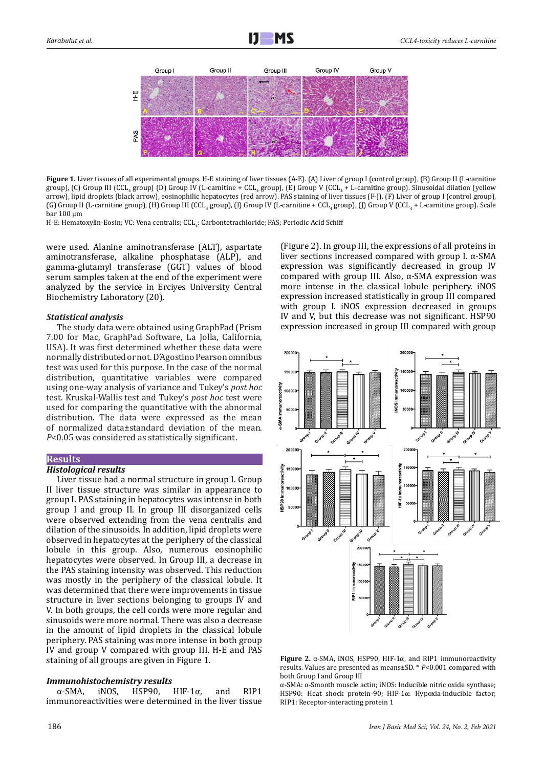

Figure 1. Liver tissues of all experimental groups. H-E staining of liver tissues (A-E). (A) Liver of group I (control group), (B) Group II (L-carnitine  $\sigma$  group), (C) Group III (CCL<sub>4</sub> group) (D) Group IV (L-carnitine + CCL<sub>4</sub> group), (E) Group V (CCL<sub>4</sub> + L-carnitine group). Sinusoidal dilation (yellow arrow), lipid droplets (black arrow), eosinophilic hepatocytes (red arrow). PAS staining of liver tissues (F-J). (F) Liver of group I (control group), (G) Group II (L-carnitine group), (H) Group III (CCL<sub>4</sub> group), (I) Group IV (L-carnitine + CCL<sub>4</sub> group), (J) Group V (CCL<sub>4</sub> + L-carnitine group). Scale bar 100 µm

H-E: Hematoxylin-Eosin; VC: Vena centralis; CCL<sub>4</sub>: Carbontetrachloride; PAS; Periodic Acid Schiff

were used. Alanine aminotransferase (ALT), aspartate aminotransferase, alkaline phosphatase (ALP), and gamma-glutamyl transferase (GGT) values of blood serum samples taken at the end of the experiment were analyzed by the service in Erciyes University Central Biochemistry Laboratory (20).

#### *Statistical analysis*

The study data were obtained using GraphPad (Prism 7.00 for Mac, GraphPad Software, La Jolla, California, USA). It was first determined whether these data were normally distributed or not. D'Agostino Pearson omnibus test was used for this purpose. In the case of the normal distribution, quantitative variables were compared using one-way analysis of variance and Tukey's *post hoc* test. Kruskal-Wallis test and Tukey's *post hoc* test were used for comparing the quantitative with the abnormal distribution. The data were expressed as the mean of normalized data±standard deviation of the mean. *P*<0.05 was considered as statistically significant.

# **Results**

# *Histological results*

Liver tissue had a normal structure in group I. Group II liver tissue structure was similar in appearance to group I. PAS staining in hepatocytes was intense in both group I and group II. In group III disorganized cells were observed extending from the vena centralis and dilation of the sinusoids. In addition, lipid droplets were observed in hepatocytes at the periphery of the classical lobule in this group. Also, numerous eosinophilic hepatocytes were observed. In Group III, a decrease in the PAS staining intensity was observed. This reduction was mostly in the periphery of the classical lobule. It was determined that there were improvements in tissue structure in liver sections belonging to groups IV and V. In both groups, the cell cords were more regular and sinusoids were more normal. There was also a decrease in the amount of lipid droplets in the classical lobule periphery. PAS staining was more intense in both group IV and group V compared with group III. H-E and PAS staining of all groups are given in Figure 1.

## *Immunohistochemistry results*

α-SMA, iNOS, HSP90, HIF-1α, and RIP1 immunoreactivities were determined in the liver tissue (Figure 2). In group III, the expressions of all proteins in liver sections increased compared with group I. α-SMA expression was significantly decreased in group IV compared with group III. Also, α-SMA expression was more intense in the classical lobule periphery. iNOS expression increased statistically in group III compared with group I. iNOS expression decreased in groups IV and V, but this decrease was not significant. HSP90 expression increased in group III compared with group



**Figure 2.** α-SMA, iNOS, HSP90, HIF-1α, and RIP1 immunoreactivity results. Values are presented as means±SD. \* *P*<0.001 compared with both Group I and Group III

α-SMA: α-Smooth muscle actin; iNOS: Inducible nitric oxide synthase; HSP90: Heat shock protein-90; HIF-1α: Hypoxia-inducible factor; RIP1: Receptor-interacting protein 1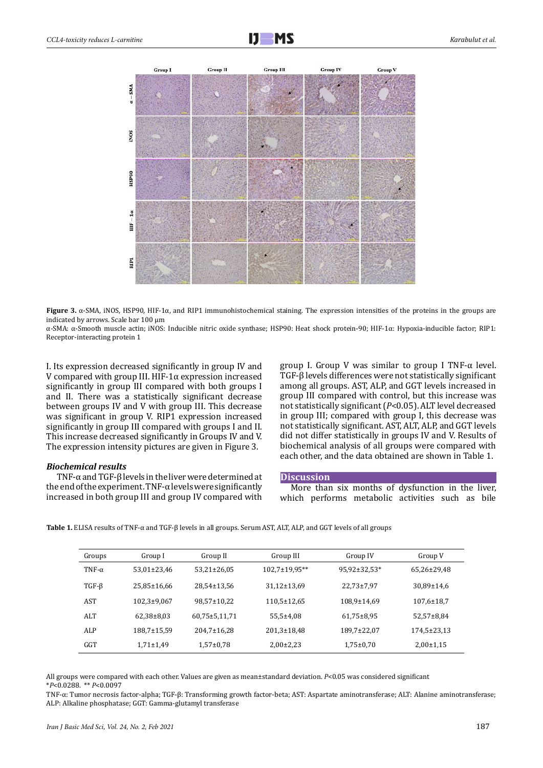

**Figure 3.** α-SMA, iNOS, HSP90, HIF-1α, and RIP1 immunohistochemical staining. The expression intensities of the proteins in the groups are indicated by arrows. Scale bar 100 µm

α-SMA: α-Smooth muscle actin; iNOS: Inducible nitric oxide synthase; HSP90: Heat shock protein-90; HIF-1α: Hypoxia-inducible factor; RIP1: Receptor-interacting protein 1

I. Its expression decreased significantly in group IV and V compared with group III. HIF-1α expression increased significantly in group III compared with both groups I and II. There was a statistically significant decrease between groups IV and V with group III. This decrease was significant in group V. RIP1 expression increased significantly in group III compared with groups I and II. This increase decreased significantly in Groups IV and V. The expression intensity pictures are given in Figure 3.

# *Biochemical results*

TNF-α and TGF-β levels in the liver were determined at the end of the experiment. TNF-α levels were significantly increased in both group III and group IV compared with group I. Group V was similar to group I TNF-α level. TGF-β levels differences were not statistically significant among all groups. AST, ALP, and GGT levels increased in group III compared with control, but this increase was not statistically significant (*P*<0.05). ALT level decreased in group III; compared with group I, this decrease was not statistically significant. AST, ALT, ALP, and GGT levels did not differ statistically in groups IV and V. Results of biochemical analysis of all groups were compared with each other, and the data obtained are shown in Table 1.

# **Discussion**

More than six months of dysfunction in the liver, which performs metabolic activities such as bile

| Groups        | Group I           | Group II            | Group III            | Group IV       | Group V          |
|---------------|-------------------|---------------------|----------------------|----------------|------------------|
| TNF- $\alpha$ | 53,01±23,46       | $53,21\pm26,05$     | $102,7 \pm 19,95$ ** | 95,92±32,53*   | 65,26±29,48      |
| $TGF-\beta$   | 25,85±16,66       | 28,54±13,56         | 31,12±13,69          | $22,73\pm7,97$ | 30,89±14,6       |
| AST           | $102,3 \pm 9,067$ | 98,57±10,22         | $110,5 \pm 12,65$    | 108,9±14,69    | $107,6 \pm 18,7$ |
| ALT           | $62,38\pm8,03$    | $60,75 \pm 5,11,71$ | $55,5 \pm 4,08$      | $61,75\pm8,95$ | $52,57\pm8,84$   |
| ALP           | 188,7±15,59       | $204,7 \pm 16,28$   | $201,3 \pm 18,48$    | 189,7±22,07    | 174,5±23,13      |
| GGT           | $1,71\pm1,49$     | $1,57\pm0.78$       | $2,00\pm2,23$        | $1,75\pm0.70$  | $2,00+1,15$      |

**Table 1.** ELISA results of TNF-α and TGF-β levels in all groups. Serum AST, ALT, ALP, and GGT levels of all groups

All groups were compared with each other. Values are given as mean±standard deviation. *P*<0.05 was considered significant \**P*<0.0288. \*\* *P*<0.0097

TNF-α: Tumor necrosis factor-alpha; TGF-β: Transforming growth factor-beta; AST: Aspartate aminotransferase; ALT: Alanine aminotransferase; ALP: Alkaline phosphatase; GGT: Gamma-glutamyl transferase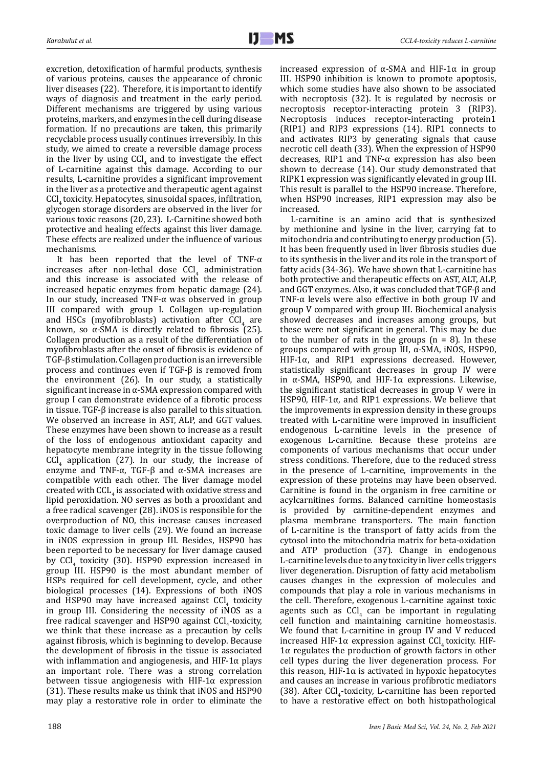excretion, detoxification of harmful products, synthesis of various proteins, causes the appearance of chronic liver diseases (22). Therefore, it is important to identify ways of diagnosis and treatment in the early period. Different mechanisms are triggered by using various proteins, markers, and enzymes in the cell during disease formation. If no precautions are taken, this primarily recyclable process usually continues irreversibly. In this study, we aimed to create a reversible damage process in the liver by using  $\text{Cl}_4$  and to investigate the effect of L-carnitine against this damage. According to our results, L-carnitine provides a significant improvement in the liver as a protective and therapeutic agent against CCl, toxicity. Hepatocytes, sinusoidal spaces, infiltration, glycogen storage disorders are observed in the liver for various toxic reasons (20, 23). L-Carnitine showed both protective and healing effects against this liver damage. These effects are realized under the influence of various mechanisms.

It has been reported that the level of TNF-α  $\arctan$  increases after non-lethal dose  $\text{Cl}_4$  administration and this increase is associated with the release of increased hepatic enzymes from hepatic damage (24). In our study, increased TNF-α was observed in group III compared with group I. Collagen up-regulation and HSCs (myofibroblasts) activation after  $\text{CCI}_4$  are known, so α-SMA is directly related to fibrosis (25). Collagen production as a result of the differentiation of myofibroblasts after the onset of fibrosis is evidence of TGF-β stimulation. Collagen production is an irreversible process and continues even if TGF-β is removed from the environment (26). In our study, a statistically significant increase in α-SMA expression compared with group I can demonstrate evidence of a fibrotic process in tissue. TGF-β increase is also parallel to this situation. We observed an increase in AST, ALP, and GGT values. These enzymes have been shown to increase as a result of the loss of endogenous antioxidant capacity and hepatocyte membrane integrity in the tissue following  $\text{CCI}_4$  application (27). In our study, the increase of enzyme and TNF- $\alpha$ , TGF-β and  $\alpha$ -SMA increases are compatible with each other. The liver damage model created with  $\text{CCL}_4$  is associated with oxidative stress and lipid peroxidation. NO serves as both a prooxidant and a free radical scavenger (28). iNOS is responsible for the overproduction of NO, this increase causes increased toxic damage to liver cells (29). We found an increase in iNOS expression in group III. Besides, HSP90 has been reported to be necessary for liver damage caused by  $\text{CCI}_4$  toxicity (30). HSP90 expression increased in group III. HSP90 is the most abundant member of HSPs required for cell development, cycle, and other biological processes (14). Expressions of both iNOS and HSP90 may have increased against  $\text{CCI}_4$  toxicity in group III. Considering the necessity of iNOS as a free radical scavenger and HSP90 against CCl<sub>4</sub>-toxicity, we think that these increase as a precaution by cells against fibrosis, which is beginning to develop. Because the development of fibrosis in the tissue is associated with inflammation and angiogenesis, and HIF-1 $\alpha$  plays an important role. There was a strong correlation between tissue angiogenesis with  $HIF-1\alpha$  expression (31). These results make us think that iNOS and HSP90 may play a restorative role in order to eliminate the

increased expression of α-SMA and HIF-1α in group III. HSP90 inhibition is known to promote apoptosis, which some studies have also shown to be associated with necroptosis (32). It is regulated by necrosis or necroptosis receptor-interacting protein 3 (RIP3). Necroptosis induces receptor-interacting protein1 (RIP1) and RIP3 expressions (14). RIP1 connects to and activates RIP3 by generating signals that cause necrotic cell death (33). When the expression of HSP90 decreases, RIP1 and TNF-α expression has also been shown to decrease (14). Our study demonstrated that RIPK1 expression was significantly elevated in group III. This result is parallel to the HSP90 increase. Therefore, when HSP90 increases, RIP1 expression may also be increased.

L-carnitine is an amino acid that is synthesized by methionine and lysine in the liver, carrying fat to mitochondria and contributing to energy production (5). It has been frequently used in liver fibrosis studies due to its synthesis in the liver and its role in the transport of fatty acids (34-36). We have shown that L-carnitine has both protective and therapeutic effects on AST, ALT, ALP, and GGT enzymes. Also, it was concluded that TGF-β and TNF-α levels were also effective in both group IV and group V compared with group III. Biochemical analysis showed decreases and increases among groups, but these were not significant in general. This may be due to the number of rats in the groups  $(n = 8)$ . In these groups compared with group III, α-SMA, iNOS, HSP90, HIF-1α, and RIP1 expressions decreased. However, statistically significant decreases in group IV were in α-SMA, HSP90, and HIF-1α expressions. Likewise, the significant statistical decreases in group V were in HSP90, HIF-1 $α$ , and RIP1 expressions. We believe that the improvements in expression density in these groups treated with L-carnitine were improved in insufficient endogenous L-carnitine levels in the presence of exogenous L-carnitine. Because these proteins are components of various mechanisms that occur under stress conditions. Therefore, due to the reduced stress in the presence of L-carnitine, improvements in the expression of these proteins may have been observed. Carnitine is found in the organism in free carnitine or acylcarnitines forms. Balanced carnitine homeostasis is provided by carnitine-dependent enzymes and plasma membrane transporters. The main function of L-carnitine is the transport of fatty acids from the cytosol into the mitochondria matrix for beta-oxidation and ATP production (37). Change in endogenous L-carnitine levels due to any toxicity in liver cells triggers liver degeneration. Disruption of fatty acid metabolism causes changes in the expression of molecules and compounds that play a role in various mechanisms in the cell. Therefore, exogenous L-carnitine against toxic agents such as  $\text{Cl}_4$  can be important in regulating cell function and maintaining carnitine homeostasis. We found that L-carnitine in group IV and V reduced increased HIF-1 $\alpha$  expression against CCl<sub>4</sub> toxicity. HIF- $1\alpha$  regulates the production of growth factors in other cell types during the liver degeneration process. For this reason, HIF-1 $α$  is activated in hypoxic hepatocytes and causes an increase in various profibrotic mediators (38). After  $\text{CG}_4$ -toxicity, L-carnitine has been reported to have a restorative effect on both histopathological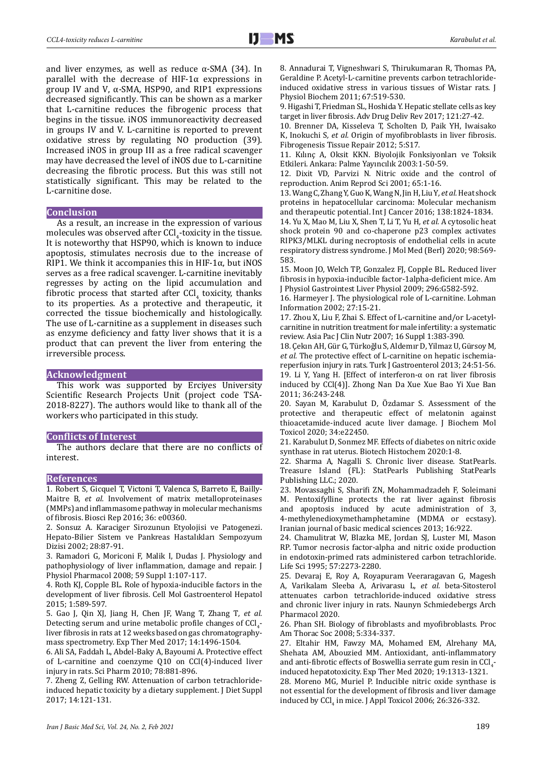and liver enzymes, as well as reduce  $\alpha$ -SMA (34). In parallel with the decrease of  $HIF-1\alpha$  expressions in group IV and V, α-SMA, HSP90, and RIP1 expressions decreased significantly. This can be shown as a marker that L-carnitine reduces the fibrogenic process that begins in the tissue. iNOS immunoreactivity decreased in groups IV and V. L-carnitine is reported to prevent oxidative stress by regulating NO production (39). Increased iNOS in group III as a free radical scavenger may have decreased the level of iNOS due to L-carnitine decreasing the fibrotic process. But this was still not statistically significant. This may be related to the L-carnitine dose.

#### **Conclusion**

As a result, an increase in the expression of various molecules was observed after CCl<sub>4</sub>-toxicity in the tissue. It is noteworthy that HSP90, which is known to induce apoptosis, stimulates necrosis due to the increase of RIP1. We think it accompanies this in HIF-1 $\alpha$ , but iNOS serves as a free radical scavenger. L-carnitine inevitably regresses by acting on the lipid accumulation and fibrotic process that started after  $\text{CCI}_4$  toxicity, thanks to its properties. As a protective and therapeutic, it corrected the tissue biochemically and histologically. The use of L-carnitine as a supplement in diseases such as enzyme deficiency and fatty liver shows that it is a product that can prevent the liver from entering the irreversible process.

# **Acknowledgment**

This work was supported by Erciyes University Scientific Research Projects Unit (project code TSA-2018-8227). The authors would like to thank all of the workers who participated in this study.

#### **Conflicts of Interest**

The authors declare that there are no conflicts of interest.

#### **References**

1. Robert S, Gicquel T, Victoni T, Valenca S, Barreto E, Bailly-Maitre B*, et al.* Involvement of matrix metalloproteinases (MMPs) and inflammasome pathway in molecular mechanisms of fibrosis. Biosci Rep 2016; 36: e00360.

2. Sonsuz A. Karaciger Sirozunun Etyolojisi ve Patogenezi. Hepato-Bilier Sistem ve Pankreas Hastalıkları Sempozyum Dizisi 2002; 28:87-91.

3. Ramadori G, Moriconi F, Malik I, Dudas J. Physiology and pathophysiology of liver inflammation, damage and repair. J Physiol Pharmacol 2008; 59 Suppl 1:107-117.

4. Roth KJ, Copple BL. Role of hypoxia-inducible factors in the development of liver fibrosis. Cell Mol Gastroenterol Hepatol 2015; 1:589-597.

5. Gao J, Qin XJ, Jiang H, Chen JF, Wang T, Zhang T*, et al.* Detecting serum and urine metabolic profile changes of  $\text{Cl}_4$ liver fibrosis in rats at 12 weeks based on gas chromatographymass spectrometry. Exp Ther Med 2017; 14:1496-1504.

6. Ali SA, Faddah L, Abdel-Baky A, Bayoumi A. Protective effect of L-carnitine and coenzyme Q10 on CCl(4)-induced liver injury in rats. Sci Pharm 2010; 78:881-896.

7. Zheng Z, Gelling RW. Attenuation of carbon tetrachlorideinduced hepatic toxicity by a dietary supplement. J Diet Suppl 2017; 14:121-131.

8. Annadurai T, Vigneshwari S, Thirukumaran R, Thomas PA, Geraldine P. Acetyl-L-carnitine prevents carbon tetrachlorideinduced oxidative stress in various tissues of Wistar rats. J Physiol Biochem 2011; 67:519-530.

9. Higashi T, Friedman SL, Hoshida Y. Hepatic stellate cells as key target in liver fibrosis. Adv Drug Deliv Rev 2017; 121:27-42.

10. Brenner DA, Kisseleva T, Scholten D, Paik YH, Iwaisako K, Inokuchi S*, et al.* Origin of myofibroblasts in liver fibrosis. Fibrogenesis Tissue Repair 2012; 5:S17.

11. Kılınç A, Oksit KKN. Biyolojik Fonksiyonları ve Toksik Etkileri. Ankara: Palme Yayıncılık 2003:1-50-59.

12. Dixit VD, Parvizi N. Nitric oxide and the control of reproduction. Anim Reprod Sci 2001; 65:1-16.

13. Wang C, Zhang Y, Guo K, Wang N, Jin H, Liu Y*, et al.* Heat shock proteins in hepatocellular carcinoma: Molecular mechanism and therapeutic potential. Int J Cancer 2016; 138:1824-1834.

14. Yu X, Mao M, Liu X, Shen T, Li T, Yu H*, et al.* A cytosolic heat shock protein 90 and co-chaperone p23 complex activates RIPK3/MLKL during necroptosis of endothelial cells in acute respiratory distress syndrome. J Mol Med (Berl) 2020; 98:569- 583.

15. Moon JO, Welch TP, Gonzalez FJ, Copple BL. Reduced liver fibrosis in hypoxia-inducible factor-1alpha-deficient mice. Am J Physiol Gastrointest Liver Physiol 2009; 296:G582-592.

16. Harmeyer J. The physiological role of L-carnitine. Lohman Information 2002; 27:15-21.

17. Zhou X, Liu F, Zhai S. Effect of L-carnitine and/or L-acetylcarnitine in nutrition treatment for male infertility: a systematic review. Asia Pac J Clin Nutr 2007; 16 Suppl 1:383-390.

18. Çekın AH, Gür G, Türkoğlu S, Aldemır D, Yilmaz U, Gürsoy M*, et al.* The protective effect of L-carnitine on hepatic ischemiareperfusion injury in rats. Turk J Gastroenterol 2013; 24:51-56. 19. Li Y, Yang H. [Effect of interferon-α on rat liver fibrosis induced by CCl(4)]. Zhong Nan Da Xue Xue Bao Yi Xue Ban 2011; 36:243-248.

20. Sayan M, Karabulut D, Özdamar S. Assessment of the protective and therapeutic effect of melatonin against thioacetamide‐induced acute liver damage. J Biochem Mol Toxicol 2020; 34:e22450.

21. Karabulut D, Sonmez MF. Effects of diabetes on nitric oxide synthase in rat uterus. Biotech Histochem 2020:1-8.

22. Sharma A, Nagalli S. Chronic liver disease. StatPearls. Treasure Island (FL): StatPearls Publishing StatPearls Publishing LLC.; 2020.

23. Movassaghi S, Sharifi ZN, Mohammadzadeh F, Soleimani M. Pentoxifylline protects the rat liver against fibrosis and apoptosis induced by acute administration of 3, 4-methylenedioxymethamphetamine (MDMA or ecstasy). Iranian journal of basic medical sciences 2013; 16:922.

24. Chamulitrat W, Blazka ME, Jordan SJ, Luster MI, Mason RP. Tumor necrosis factor-alpha and nitric oxide production in endotoxin-primed rats administered carbon tetrachloride. Life Sci 1995; 57:2273-2280.

25. Devaraj E, Roy A, Royapuram Veeraragavan G, Magesh A, Varikalam Sleeba A, Arivarasu L*, et al.* beta-Sitosterol attenuates carbon tetrachloride-induced oxidative stress and chronic liver injury in rats. Naunyn Schmiedebergs Arch Pharmacol 2020.

26. Phan SH. Biology of fibroblasts and myofibroblasts. Proc Am Thorac Soc 2008; 5:334-337.

27. Eltahir HM, Fawzy MA, Mohamed EM, Alrehany MA, Shehata AM, Abouzied MM. Antioxidant, anti-inflammatory and anti-fibrotic effects of Boswellia serrate gum resin in  $\text{CCl}_4$ induced hepatotoxicity. Exp Ther Med 2020; 19:1313-1321.

28. Moreno MG, Muriel P. Inducible nitric oxide synthase is not essential for the development of fibrosis and liver damage induced by  $\text{CGI}_4$  in mice. J Appl Toxicol 2006; 26:326-332.